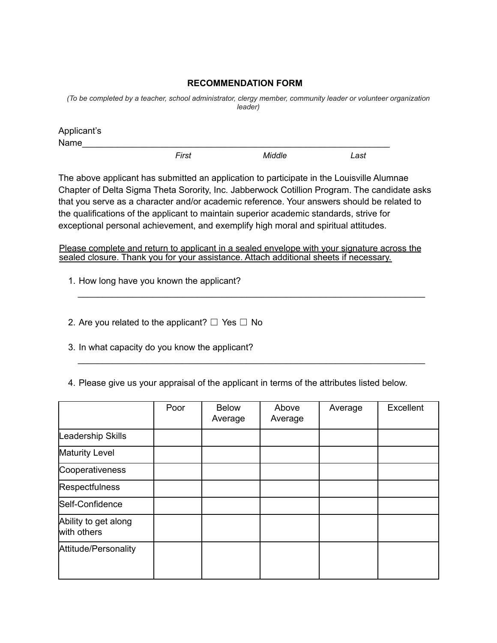## **RECOMMENDATION FORM**

*(To be completed by a teacher, school administrator, clergy member, community leader or volunteer organization leader)*

| Applicant's |       |        |      |  |
|-------------|-------|--------|------|--|
| Name        |       |        |      |  |
|             | First | Middle | Last |  |

The above applicant has submitted an application to participate in the Louisville Alumnae Chapter of Delta Sigma Theta Sorority, Inc. Jabberwock Cotillion Program. The candidate asks that you serve as a character and/or academic reference. Your answers should be related to the qualifications of the applicant to maintain superior academic standards, strive for exceptional personal achievement, and exemplify high moral and spiritual attitudes.

Please complete and return to applicant in a sealed envelope with your signature across the sealed closure. Thank you for your assistance. Attach additional sheets if necessary.

\_\_\_\_\_\_\_\_\_\_\_\_\_\_\_\_\_\_\_\_\_\_\_\_\_\_\_\_\_\_\_\_\_\_\_\_\_\_\_\_\_\_\_\_\_\_\_\_\_\_\_\_\_\_\_\_\_\_\_\_\_\_\_\_\_\_\_\_\_\_

\_\_\_\_\_\_\_\_\_\_\_\_\_\_\_\_\_\_\_\_\_\_\_\_\_\_\_\_\_\_\_\_\_\_\_\_\_\_\_\_\_\_\_\_\_\_\_\_\_\_\_\_\_\_\_\_\_\_\_\_\_\_\_\_\_\_\_\_\_\_

1. How long have you known the applicant?

2. Are you related to the applicant?  $\Box$  Yes  $\Box$  No

3. In what capacity do you know the applicant?

4. Please give us your appraisal of the applicant in terms of the attributes listed below.

|                                     | Poor | <b>Below</b><br>Average | Above<br>Average | Average | Excellent |
|-------------------------------------|------|-------------------------|------------------|---------|-----------|
| Leadership Skills                   |      |                         |                  |         |           |
| <b>Maturity Level</b>               |      |                         |                  |         |           |
| Cooperativeness                     |      |                         |                  |         |           |
| <b>Respectfulness</b>               |      |                         |                  |         |           |
| Self-Confidence                     |      |                         |                  |         |           |
| Ability to get along<br>with others |      |                         |                  |         |           |
| Attitude/Personality                |      |                         |                  |         |           |